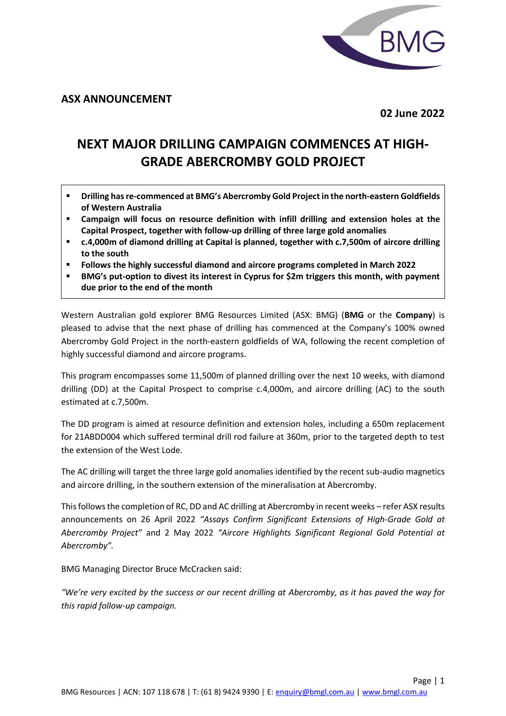

**ASX ANNOUNCEMENT**

**02 June 2022**

# **NEXT MAJOR DRILLING CAMPAIGN COMMENCES AT HIGH-GRADE ABERCROMBY GOLD PROJECT**

- **Drilling has re-commenced at BMG's Abercromby Gold Project in the north-eastern Goldfields of Western Australia**
- **Campaign will focus on resource definition with infill drilling and extension holes at the Capital Prospect, together with follow-up drilling of three large gold anomalies**
- **c.4,000m of diamond drilling at Capital is planned, together with c.7,500m of aircore drilling to the south**
- **Follows the highly successful diamond and aircore programs completed in March 2022**
- **BMG's put-option to divest its interest in Cyprus for \$2m triggers this month, with payment due prior to the end of the month**

Western Australian gold explorer BMG Resources Limited (ASX: BMG) (**BMG** or the **Company**) is pleased to advise that the next phase of drilling has commenced at the Company's 100% owned Abercromby Gold Project in the north-eastern goldfields of WA, following the recent completion of highly successful diamond and aircore programs.

This program encompasses some 11,500m of planned drilling over the next 10 weeks, with diamond drilling (DD) at the Capital Prospect to comprise c.4,000m, and aircore drilling (AC) to the south estimated at c.7,500m.

The DD program is aimed at resource definition and extension holes, including a 650m replacement for 21ABDD004 which suffered terminal drill rod failure at 360m, prior to the targeted depth to test the extension of the West Lode.

The AC drilling will target the three large gold anomalies identified by the recent sub-audio magnetics and aircore drilling, in the southern extension of the mineralisation at Abercromby.

This follows the completion of RC, DD and AC drilling at Abercromby in recent weeks – refer ASX results announcements on 26 April 2022 *"Assays Confirm Significant Extensions of High-Grade Gold at Abercromby Project"* and 2 May 2022 *"Aircore Highlights Significant Regional Gold Potential at Abercromby".*

BMG Managing Director Bruce McCracken said:

*"We're very excited by the success or our recent drilling at Abercromby, as it has paved the way for this rapid follow-up campaign.*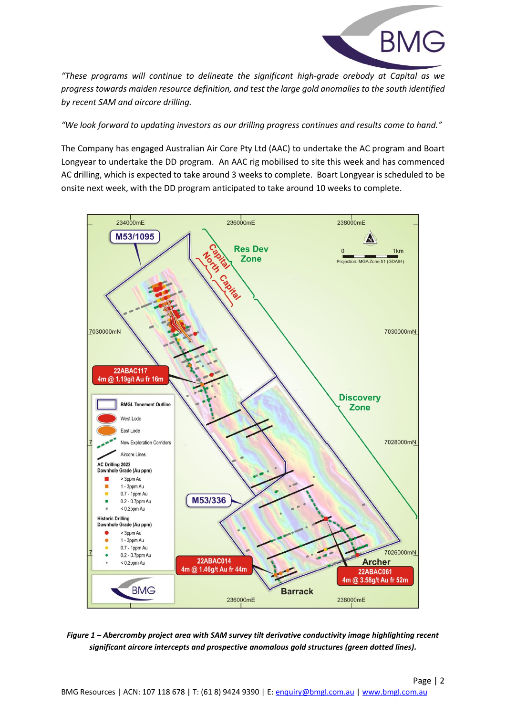

*"These programs will continue to delineate the significant high-grade orebody at Capital as we progress towards maiden resource definition, and test the large gold anomalies to the south identified by recent SAM and aircore drilling.*

*"We look forward to updating investors as our drilling progress continues and results come to hand."*

The Company has engaged Australian Air Core Pty Ltd (AAC) to undertake the AC program and Boart Longyear to undertake the DD program. An AAC rig mobilised to site this week and has commenced AC drilling, which is expected to take around 3 weeks to complete. Boart Longyear is scheduled to be onsite next week, with the DD program anticipated to take around 10 weeks to complete.



*Figure 1 – Abercromby project area with SAM survey tilt derivative conductivity image highlighting recent significant aircore intercepts and prospective anomalous gold structures (green dotted lines).*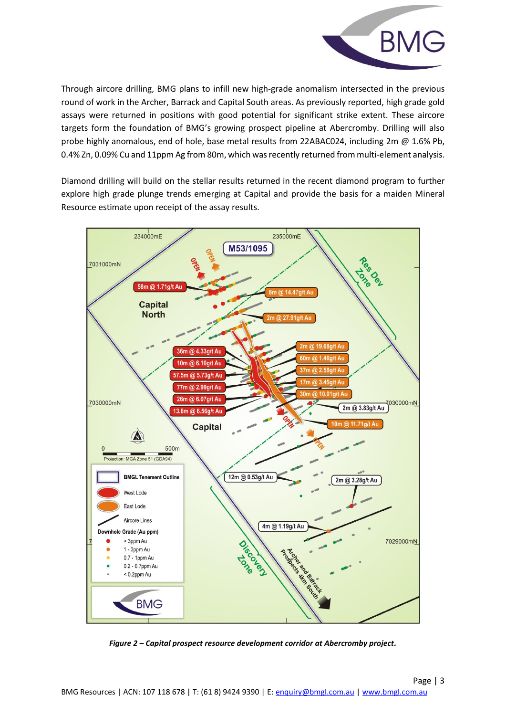

Through aircore drilling, BMG plans to infill new high-grade anomalism intersected in the previous round of work in the Archer, Barrack and Capital South areas. As previously reported, high grade gold assays were returned in positions with good potential for significant strike extent. These aircore targets form the foundation of BMG's growing prospect pipeline at Abercromby. Drilling will also probe highly anomalous, end of hole, base metal results from 22ABAC024, including 2m @ 1.6% Pb, 0.4% Zn, 0.09% Cu and 11ppm Ag from 80m, which was recently returned from multi-element analysis.

Diamond drilling will build on the stellar results returned in the recent diamond program to further explore high grade plunge trends emerging at Capital and provide the basis for a maiden Mineral Resource estimate upon receipt of the assay results.



*Figure 2 – Capital prospect resource development corridor at Abercromby project.*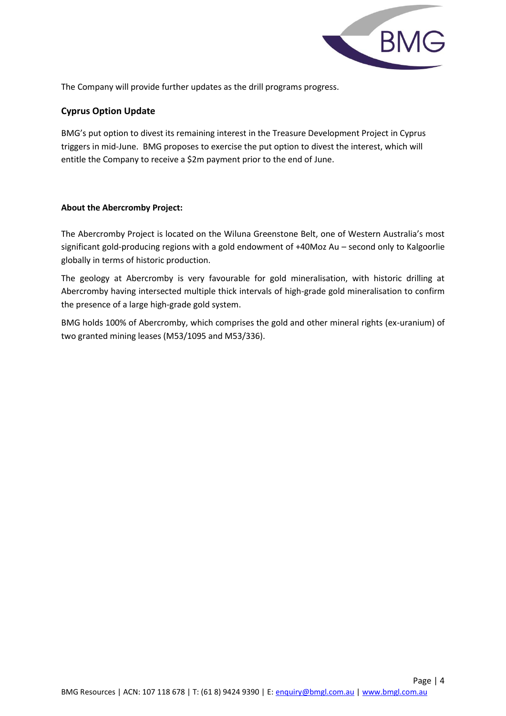

The Company will provide further updates as the drill programs progress.

## **Cyprus Option Update**

BMG's put option to divest its remaining interest in the Treasure Development Project in Cyprus triggers in mid-June. BMG proposes to exercise the put option to divest the interest, which will entitle the Company to receive a \$2m payment prior to the end of June.

#### **About the Abercromby Project:**

The Abercromby Project is located on the Wiluna Greenstone Belt, one of Western Australia's most significant gold-producing regions with a gold endowment of +40Moz Au – second only to Kalgoorlie globally in terms of historic production.

The geology at Abercromby is very favourable for gold mineralisation, with historic drilling at Abercromby having intersected multiple thick intervals of high-grade gold mineralisation to confirm the presence of a large high-grade gold system.

BMG holds 100% of Abercromby, which comprises the gold and other mineral rights (ex-uranium) of two granted mining leases (M53/1095 and M53/336).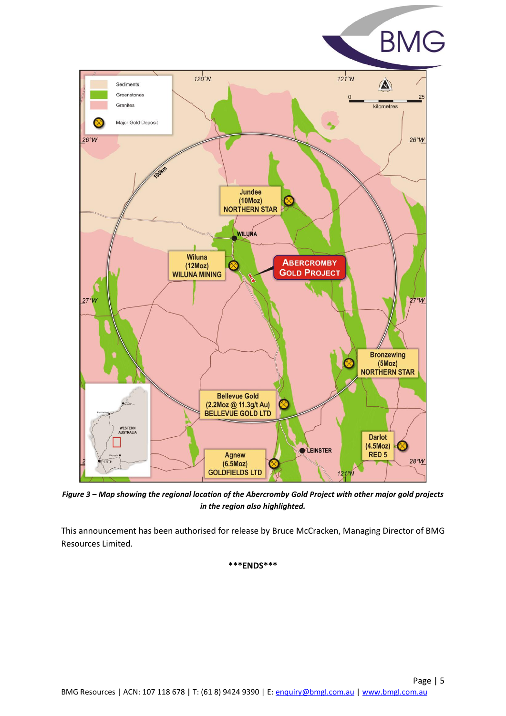



*Figure 3 – Map showing the regional location of the Abercromby Gold Project with other major gold projects in the region also highlighted.*

This announcement has been authorised for release by Bruce McCracken, Managing Director of BMG Resources Limited.

#### **\*\*\*ENDS\*\*\***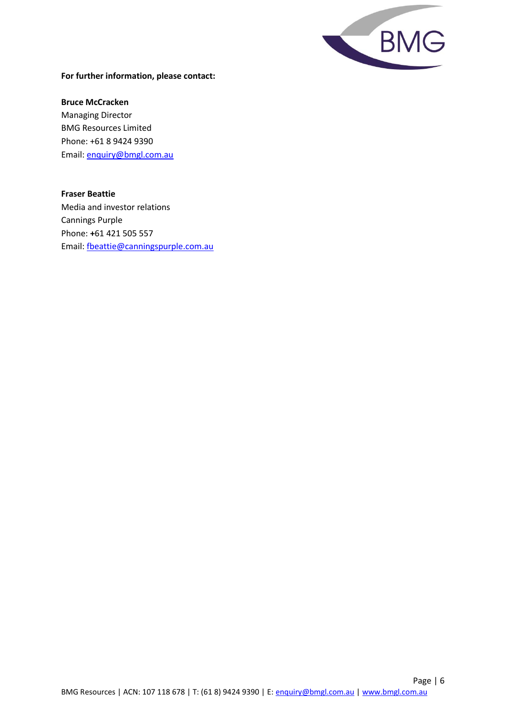

#### **For further information, please contact:**

**Bruce McCracken** Managing Director BMG Resources Limited Phone: +61 8 9424 9390 Email: [enquiry@bmgl.com.au](mailto:enquiry@bmgl.com.au)

#### **Fraser Beattie**

Media and investor relations Cannings Purple Phone: **+**61 421 505 557 Email: [fbeattie@canningspurple.com.au](mailto:fbeattie@canningspurple.com.au)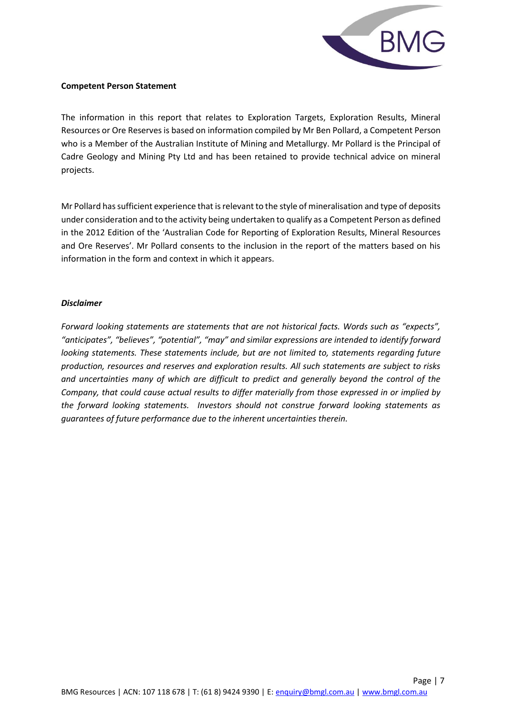

#### **Competent Person Statement**

The information in this report that relates to Exploration Targets, Exploration Results, Mineral Resources or Ore Reserves is based on information compiled by Mr Ben Pollard, a Competent Person who is a Member of the Australian Institute of Mining and Metallurgy. Mr Pollard is the Principal of Cadre Geology and Mining Pty Ltd and has been retained to provide technical advice on mineral projects.

Mr Pollard has sufficient experience that is relevant to the style of mineralisation and type of deposits under consideration and to the activity being undertaken to qualify as a Competent Person as defined in the 2012 Edition of the 'Australian Code for Reporting of Exploration Results, Mineral Resources and Ore Reserves'. Mr Pollard consents to the inclusion in the report of the matters based on his information in the form and context in which it appears.

#### *Disclaimer*

*Forward looking statements are statements that are not historical facts. Words such as "expects", "anticipates", "believes", "potential", "may" and similar expressions are intended to identify forward looking statements. These statements include, but are not limited to, statements regarding future production, resources and reserves and exploration results. All such statements are subject to risks and uncertainties many of which are difficult to predict and generally beyond the control of the Company, that could cause actual results to differ materially from those expressed in or implied by the forward looking statements. Investors should not construe forward looking statements as guarantees of future performance due to the inherent uncertainties therein.*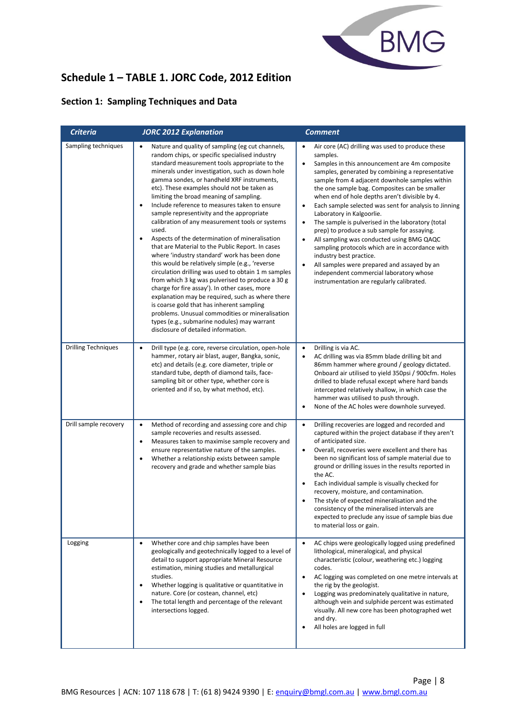

## **Schedule 1 – TABLE 1. JORC Code, 2012 Edition**

## **Section 1: Sampling Techniques and Data**

| <b>Criteria</b>            | <b>JORC 2012 Explanation</b>                                                                                                                                                                                                                                                                                                                                                                                                                                                                                                                                                                                                                                                                                                                                                                                                                                                                                                                                                                                                                                                                                                                      | <b>Comment</b>                                                                                                                                                                                                                                                                                                                                                                                                                                                                                                                                                                                                                                                                                                                                                                                                                              |
|----------------------------|---------------------------------------------------------------------------------------------------------------------------------------------------------------------------------------------------------------------------------------------------------------------------------------------------------------------------------------------------------------------------------------------------------------------------------------------------------------------------------------------------------------------------------------------------------------------------------------------------------------------------------------------------------------------------------------------------------------------------------------------------------------------------------------------------------------------------------------------------------------------------------------------------------------------------------------------------------------------------------------------------------------------------------------------------------------------------------------------------------------------------------------------------|---------------------------------------------------------------------------------------------------------------------------------------------------------------------------------------------------------------------------------------------------------------------------------------------------------------------------------------------------------------------------------------------------------------------------------------------------------------------------------------------------------------------------------------------------------------------------------------------------------------------------------------------------------------------------------------------------------------------------------------------------------------------------------------------------------------------------------------------|
| Sampling techniques        | Nature and quality of sampling (eg cut channels,<br>random chips, or specific specialised industry<br>standard measurement tools appropriate to the<br>minerals under investigation, such as down hole<br>gamma sondes, or handheld XRF instruments,<br>etc). These examples should not be taken as<br>limiting the broad meaning of sampling.<br>Include reference to measures taken to ensure<br>$\bullet$<br>sample representivity and the appropriate<br>calibration of any measurement tools or systems<br>used.<br>Aspects of the determination of mineralisation<br>$\bullet$<br>that are Material to the Public Report. In cases<br>where 'industry standard' work has been done<br>this would be relatively simple (e.g., 'reverse<br>circulation drilling was used to obtain 1 m samples<br>from which 3 kg was pulverised to produce a 30 g<br>charge for fire assay'). In other cases, more<br>explanation may be required, such as where there<br>is coarse gold that has inherent sampling<br>problems. Unusual commodities or mineralisation<br>types (e.g., submarine nodules) may warrant<br>disclosure of detailed information. | Air core (AC) drilling was used to produce these<br>samples.<br>Samples in this announcement are 4m composite<br>$\bullet$<br>samples, generated by combining a representative<br>sample from 4 adjacent downhole samples within<br>the one sample bag. Composites can be smaller<br>when end of hole depths aren't divisible by 4.<br>Each sample selected was sent for analysis to Jinning<br>$\bullet$<br>Laboratory in Kalgoorlie.<br>The sample is pulverised in the laboratory (total<br>٠<br>prep) to produce a sub sample for assaying.<br>All sampling was conducted using BMG QAQC<br>$\bullet$<br>sampling protocols which are in accordance with<br>industry best practice.<br>All samples were prepared and assayed by an<br>$\bullet$<br>independent commercial laboratory whose<br>instrumentation are regularly calibrated. |
| <b>Drilling Techniques</b> | Drill type (e.g. core, reverse circulation, open-hole<br>$\bullet$<br>hammer, rotary air blast, auger, Bangka, sonic,<br>etc) and details (e.g. core diameter, triple or<br>standard tube, depth of diamond tails, face-<br>sampling bit or other type, whether core is<br>oriented and if so, by what method, etc).                                                                                                                                                                                                                                                                                                                                                                                                                                                                                                                                                                                                                                                                                                                                                                                                                              | Drilling is via AC.<br>٠<br>AC drilling was via 85mm blade drilling bit and<br>$\bullet$<br>86mm hammer where ground / geology dictated.<br>Onboard air utilised to yield 350psi / 900cfm. Holes<br>drilled to blade refusal except where hard bands<br>intercepted relatively shallow, in which case the<br>hammer was utilised to push through.<br>None of the AC holes were downhole surveyed.<br>$\bullet$                                                                                                                                                                                                                                                                                                                                                                                                                              |
| Drill sample recovery      | Method of recording and assessing core and chip<br>$\bullet$<br>sample recoveries and results assessed.<br>Measures taken to maximise sample recovery and<br>$\bullet$<br>ensure representative nature of the samples.<br>Whether a relationship exists between sample<br>$\bullet$<br>recovery and grade and whether sample bias                                                                                                                                                                                                                                                                                                                                                                                                                                                                                                                                                                                                                                                                                                                                                                                                                 | Drilling recoveries are logged and recorded and<br>٠<br>captured within the project database if they aren't<br>of anticipated size.<br>Overall, recoveries were excellent and there has<br>$\bullet$<br>been no significant loss of sample material due to<br>ground or drilling issues in the results reported in<br>the AC.<br>Each individual sample is visually checked for<br>$\bullet$<br>recovery, moisture, and contamination.<br>The style of expected mineralisation and the<br>consistency of the mineralised intervals are<br>expected to preclude any issue of sample bias due<br>to material loss or gain.                                                                                                                                                                                                                    |
| Logging                    | Whether core and chip samples have been<br>$\bullet$<br>geologically and geotechnically logged to a level of<br>detail to support appropriate Mineral Resource<br>estimation, mining studies and metallurgical<br>studies.<br>Whether logging is qualitative or quantitative in<br>$\bullet$<br>nature. Core (or costean, channel, etc)<br>The total length and percentage of the relevant<br>$\bullet$<br>intersections logged.                                                                                                                                                                                                                                                                                                                                                                                                                                                                                                                                                                                                                                                                                                                  | $\bullet$<br>AC chips were geologically logged using predefined<br>lithological, mineralogical, and physical<br>characteristic (colour, weathering etc.) logging<br>codes.<br>$\bullet$<br>AC logging was completed on one metre intervals at<br>the rig by the geologist.<br>Logging was predominately qualitative in nature,<br>$\bullet$<br>although vein and sulphide percent was estimated<br>visually. All new core has been photographed wet<br>and dry.<br>All holes are logged in full<br>$\bullet$                                                                                                                                                                                                                                                                                                                                |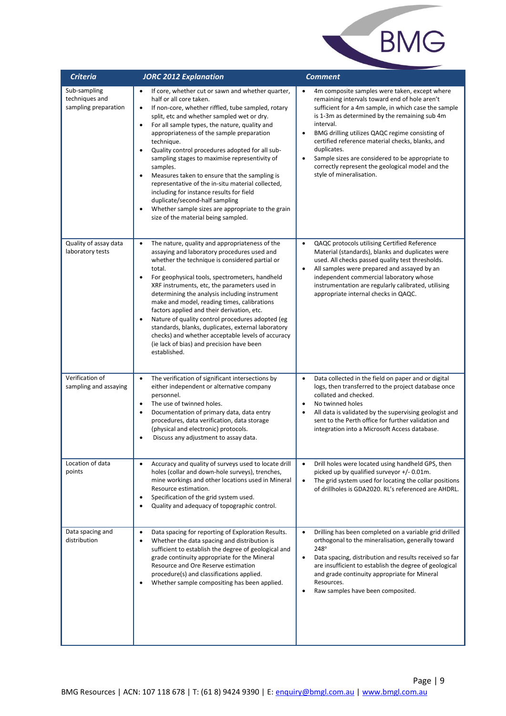

| <b>Criteria</b>                                        | <b>JORC 2012 Explanation</b>                                                                                                                                                                                                                                                                                                                                                                                                                                                                                                                                                                                                                                                                                                                          | <b>Comment</b>                                                                                                                                                                                                                                                                                                                                                                                                                                                                                           |
|--------------------------------------------------------|-------------------------------------------------------------------------------------------------------------------------------------------------------------------------------------------------------------------------------------------------------------------------------------------------------------------------------------------------------------------------------------------------------------------------------------------------------------------------------------------------------------------------------------------------------------------------------------------------------------------------------------------------------------------------------------------------------------------------------------------------------|----------------------------------------------------------------------------------------------------------------------------------------------------------------------------------------------------------------------------------------------------------------------------------------------------------------------------------------------------------------------------------------------------------------------------------------------------------------------------------------------------------|
| Sub-sampling<br>techniques and<br>sampling preparation | If core, whether cut or sawn and whether quarter,<br>half or all core taken.<br>If non-core, whether riffled, tube sampled, rotary<br>$\bullet$<br>split, etc and whether sampled wet or dry.<br>For all sample types, the nature, quality and<br>$\bullet$<br>appropriateness of the sample preparation<br>technique.<br>Quality control procedures adopted for all sub-<br>$\bullet$<br>sampling stages to maximise representivity of<br>samples.<br>Measures taken to ensure that the sampling is<br>$\bullet$<br>representative of the in-situ material collected,<br>including for instance results for field<br>duplicate/second-half sampling<br>Whether sample sizes are appropriate to the grain<br>٠<br>size of the material being sampled. | 4m composite samples were taken, except where<br>remaining intervals toward end of hole aren't<br>sufficient for a 4m sample, in which case the sample<br>is 1-3m as determined by the remaining sub 4m<br>interval.<br>BMG drilling utilizes QAQC regime consisting of<br>$\bullet$<br>certified reference material checks, blanks, and<br>duplicates.<br>Sample sizes are considered to be appropriate to<br>$\bullet$<br>correctly represent the geological model and the<br>style of mineralisation. |
| Quality of assay data<br>laboratory tests              | The nature, quality and appropriateness of the<br>$\bullet$<br>assaying and laboratory procedures used and<br>whether the technique is considered partial or<br>total.<br>For geophysical tools, spectrometers, handheld<br>$\bullet$<br>XRF instruments, etc, the parameters used in<br>determining the analysis including instrument<br>make and model, reading times, calibrations<br>factors applied and their derivation, etc.<br>Nature of quality control procedures adopted (eg<br>$\bullet$<br>standards, blanks, duplicates, external laboratory<br>checks) and whether acceptable levels of accuracy<br>(ie lack of bias) and precision have been<br>established.                                                                          | QAQC protocols utilising Certified Reference<br>$\bullet$<br>Material (standards), blanks and duplicates were<br>used. All checks passed quality test thresholds.<br>All samples were prepared and assayed by an<br>$\bullet$<br>independent commercial laboratory whose<br>instrumentation are regularly calibrated, utilising<br>appropriate internal checks in QAQC.                                                                                                                                  |
| Verification of<br>sampling and assaying               | The verification of significant intersections by<br>$\bullet$<br>either independent or alternative company<br>personnel.<br>The use of twinned holes.<br>$\bullet$<br>Documentation of primary data, data entry<br>$\bullet$<br>procedures, data verification, data storage<br>(physical and electronic) protocols.<br>Discuss any adjustment to assay data.                                                                                                                                                                                                                                                                                                                                                                                          | $\bullet$<br>Data collected in the field on paper and or digital<br>logs, then transferred to the project database once<br>collated and checked.<br>No twinned holes<br>$\bullet$<br>All data is validated by the supervising geologist and<br>$\bullet$<br>sent to the Perth office for further validation and<br>integration into a Microsoft Access database.                                                                                                                                         |
| Location of data<br>points                             | Accuracy and quality of surveys used to locate drill<br>$\bullet$<br>holes (collar and down-hole surveys), trenches,<br>mine workings and other locations used in Mineral<br>Resource estimation.<br>Specification of the grid system used.<br>$\bullet$<br>Quality and adequacy of topographic control.<br>$\bullet$                                                                                                                                                                                                                                                                                                                                                                                                                                 | Drill holes were located using handheld GPS, then<br>$\bullet$<br>picked up by qualified surveyor +/- 0.01m.<br>The grid system used for locating the collar positions<br>$\bullet$<br>of drillholes is GDA2020. RL's referenced are AHDRL.                                                                                                                                                                                                                                                              |
| Data spacing and<br>distribution                       | Data spacing for reporting of Exploration Results.<br>$\bullet$<br>Whether the data spacing and distribution is<br>$\bullet$<br>sufficient to establish the degree of geological and<br>grade continuity appropriate for the Mineral<br>Resource and Ore Reserve estimation<br>procedure(s) and classifications applied.<br>Whether sample compositing has been applied.                                                                                                                                                                                                                                                                                                                                                                              | Drilling has been completed on a variable grid drilled<br>$\bullet$<br>orthogonal to the mineralisation, generally toward<br>248°<br>Data spacing, distribution and results received so far<br>$\bullet$<br>are insufficient to establish the degree of geological<br>and grade continuity appropriate for Mineral<br>Resources.<br>Raw samples have been composited.                                                                                                                                    |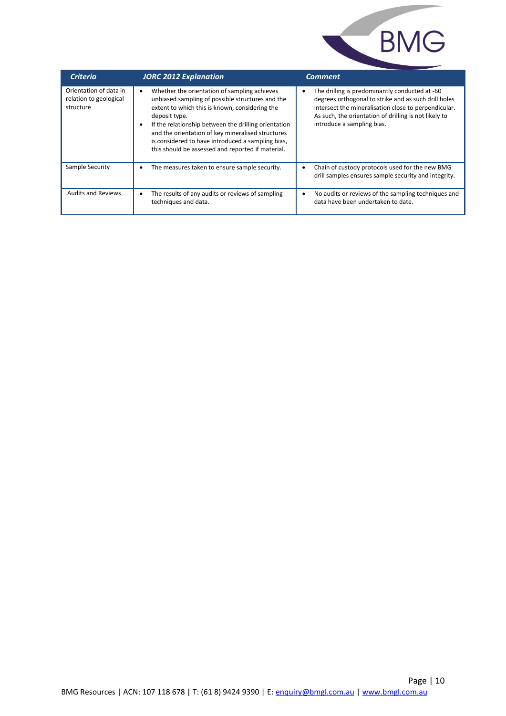

| <b>Criteria</b>                                               | <b>JORC 2012 Explanation</b>                                                                                                                                                                                                                                                                                                                                                                            | <b>Comment</b>                                                                                                                                                                                                                                        |
|---------------------------------------------------------------|---------------------------------------------------------------------------------------------------------------------------------------------------------------------------------------------------------------------------------------------------------------------------------------------------------------------------------------------------------------------------------------------------------|-------------------------------------------------------------------------------------------------------------------------------------------------------------------------------------------------------------------------------------------------------|
| Orientation of data in<br>relation to geological<br>structure | Whether the orientation of sampling achieves<br>$\bullet$<br>unbiased sampling of possible structures and the<br>extent to which this is known, considering the<br>deposit type.<br>If the relationship between the drilling orientation<br>and the orientation of key mineralised structures<br>is considered to have introduced a sampling bias,<br>this should be assessed and reported if material. | The drilling is predominantly conducted at -60<br>degrees orthogonal to strike and as such drill holes<br>intersect the mineralisation close to perpendicular.<br>As such, the orientation of drilling is not likely to<br>introduce a sampling bias. |
| Sample Security                                               | The measures taken to ensure sample security.                                                                                                                                                                                                                                                                                                                                                           | Chain of custody protocols used for the new BMG<br>drill samples ensures sample security and integrity.                                                                                                                                               |
| <b>Audits and Reviews</b>                                     | The results of any audits or reviews of sampling<br>techniques and data.                                                                                                                                                                                                                                                                                                                                | No audits or reviews of the sampling techniques and<br>data have been undertaken to date.                                                                                                                                                             |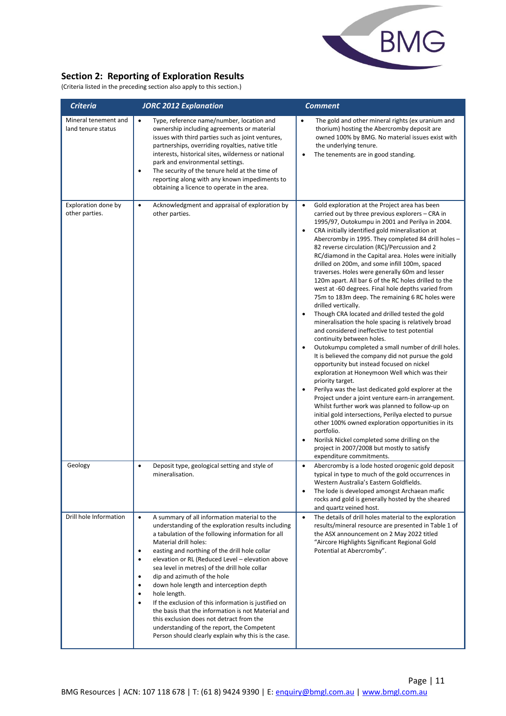

## **Section 2: Reporting of Exploration Results**

(Criteria listed in the preceding section also apply to this section.)

| <b>Criteria</b>                            | <b>JORC 2012 Explanation</b>                                                                                                                                                                                                                                                                                                                                                                                                                                                                                                                                                                                                                                                                                                                                  | <b>Comment</b>                                                                                                                                                                                                                                                                                                                                                                                                                                                                                                                                                                                                                                                                                                                                                                                                                                                                                                                                                                                                                                                                                                                                                                                                                                                                                                                                                                                                                                                                                                                       |
|--------------------------------------------|---------------------------------------------------------------------------------------------------------------------------------------------------------------------------------------------------------------------------------------------------------------------------------------------------------------------------------------------------------------------------------------------------------------------------------------------------------------------------------------------------------------------------------------------------------------------------------------------------------------------------------------------------------------------------------------------------------------------------------------------------------------|--------------------------------------------------------------------------------------------------------------------------------------------------------------------------------------------------------------------------------------------------------------------------------------------------------------------------------------------------------------------------------------------------------------------------------------------------------------------------------------------------------------------------------------------------------------------------------------------------------------------------------------------------------------------------------------------------------------------------------------------------------------------------------------------------------------------------------------------------------------------------------------------------------------------------------------------------------------------------------------------------------------------------------------------------------------------------------------------------------------------------------------------------------------------------------------------------------------------------------------------------------------------------------------------------------------------------------------------------------------------------------------------------------------------------------------------------------------------------------------------------------------------------------------|
| Mineral tenement and<br>land tenure status | Type, reference name/number, location and<br>$\bullet$<br>ownership including agreements or material<br>issues with third parties such as joint ventures,<br>partnerships, overriding royalties, native title<br>interests, historical sites, wilderness or national<br>park and environmental settings.<br>The security of the tenure held at the time of<br>٠<br>reporting along with any known impediments to<br>obtaining a licence to operate in the area.                                                                                                                                                                                                                                                                                               | The gold and other mineral rights (ex uranium and<br>$\bullet$<br>thorium) hosting the Abercromby deposit are<br>owned 100% by BMG. No material issues exist with<br>the underlying tenure.<br>The tenements are in good standing.<br>$\bullet$                                                                                                                                                                                                                                                                                                                                                                                                                                                                                                                                                                                                                                                                                                                                                                                                                                                                                                                                                                                                                                                                                                                                                                                                                                                                                      |
| Exploration done by<br>other parties.      | $\bullet$<br>Acknowledgment and appraisal of exploration by<br>other parties.                                                                                                                                                                                                                                                                                                                                                                                                                                                                                                                                                                                                                                                                                 | Gold exploration at the Project area has been<br>$\bullet$<br>carried out by three previous explorers – CRA in<br>1995/97, Outokumpu in 2001 and Perilya in 2004.<br>CRA initially identified gold mineralisation at<br>$\bullet$<br>Abercromby in 1995. They completed 84 drill holes -<br>82 reverse circulation (RC)/Percussion and 2<br>RC/diamond in the Capital area. Holes were initially<br>drilled on 200m, and some infill 100m, spaced<br>traverses. Holes were generally 60m and lesser<br>120m apart. All bar 6 of the RC holes drilled to the<br>west at -60 degrees. Final hole depths varied from<br>75m to 183m deep. The remaining 6 RC holes were<br>drilled vertically.<br>Though CRA located and drilled tested the gold<br>mineralisation the hole spacing is relatively broad<br>and considered ineffective to test potential<br>continuity between holes.<br>Outokumpu completed a small number of drill holes.<br>$\bullet$<br>It is believed the company did not pursue the gold<br>opportunity but instead focused on nickel<br>exploration at Honeymoon Well which was their<br>priority target.<br>Perilya was the last dedicated gold explorer at the<br>Project under a joint venture earn-in arrangement.<br>Whilst further work was planned to follow-up on<br>initial gold intersections, Perilya elected to pursue<br>other 100% owned exploration opportunities in its<br>portfolio.<br>Norilsk Nickel completed some drilling on the<br>$\bullet$<br>project in 2007/2008 but mostly to satisfy |
| Geology                                    | Deposit type, geological setting and style of<br>$\bullet$<br>mineralisation.                                                                                                                                                                                                                                                                                                                                                                                                                                                                                                                                                                                                                                                                                 | expenditure commitments.<br>Abercromby is a lode hosted orogenic gold deposit<br>$\bullet$<br>typical in type to much of the gold occurrences in<br>Western Australia's Eastern Goldfields.<br>The lode is developed amongst Archaean mafic<br>$\bullet$<br>rocks and gold is generally hosted by the sheared<br>and quartz veined host.                                                                                                                                                                                                                                                                                                                                                                                                                                                                                                                                                                                                                                                                                                                                                                                                                                                                                                                                                                                                                                                                                                                                                                                             |
| Drill hole Information                     | A summary of all information material to the<br>$\bullet$<br>understanding of the exploration results including<br>a tabulation of the following information for all<br>Material drill holes:<br>easting and northing of the drill hole collar<br>٠<br>elevation or RL (Reduced Level - elevation above<br>$\bullet$<br>sea level in metres) of the drill hole collar<br>dip and azimuth of the hole<br>$\bullet$<br>down hole length and interception depth<br>٠<br>hole length.<br>If the exclusion of this information is justified on<br>$\bullet$<br>the basis that the information is not Material and<br>this exclusion does not detract from the<br>understanding of the report, the Competent<br>Person should clearly explain why this is the case. | The details of drill holes material to the exploration<br>$\bullet$<br>results/mineral resource are presented in Table 1 of<br>the ASX announcement on 2 May 2022 titled<br>"Aircore Highlights Significant Regional Gold<br>Potential at Abercromby".                                                                                                                                                                                                                                                                                                                                                                                                                                                                                                                                                                                                                                                                                                                                                                                                                                                                                                                                                                                                                                                                                                                                                                                                                                                                               |